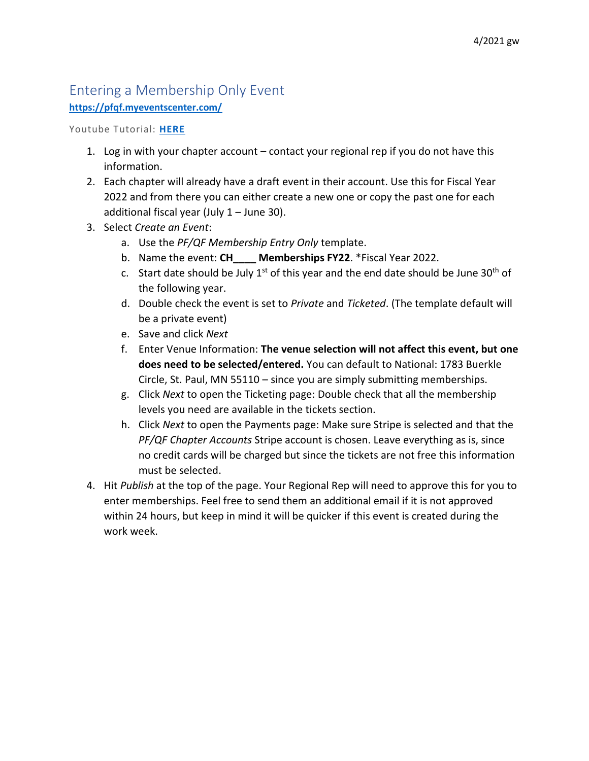## Entering a Membership Only Event

## **<https://pfqf.myeventscenter.com/>**

Youtube Tutorial: **[HERE](https://youtu.be/juXF5VlcHjc)**

- 1. Log in with your chapter account contact your regional rep if you do not have this information.
- 2. Each chapter will already have a draft event in their account. Use this for Fiscal Year 2022 and from there you can either create a new one or copy the past one for each additional fiscal year (July 1 – June 30).
- 3. Select *Create an Event*:
	- a. Use the *PF/QF Membership Entry Only* template.
	- b. Name the event: **CH\_\_\_\_ Memberships FY22**. \*Fiscal Year 2022.
	- c. Start date should be July  $1^{st}$  of this year and the end date should be June  $30^{th}$  of the following year.
	- d. Double check the event is set to *Private* and *Ticketed*. (The template default will be a private event)
	- e. Save and click *Next*
	- f. Enter Venue Information: **The venue selection will not affect this event, but one does need to be selected/entered.** You can default to National: 1783 Buerkle Circle, St. Paul, MN 55110 – since you are simply submitting memberships.
	- g. Click *Next* to open the Ticketing page: Double check that all the membership levels you need are available in the tickets section.
	- h. Click *Next* to open the Payments page: Make sure Stripe is selected and that the *PF/QF Chapter Accounts* Stripe account is chosen. Leave everything as is, since no credit cards will be charged but since the tickets are not free this information must be selected.
- 4. Hit *Publish* at the top of the page. Your Regional Rep will need to approve this for you to enter memberships. Feel free to send them an additional email if it is not approved within 24 hours, but keep in mind it will be quicker if this event is created during the work week.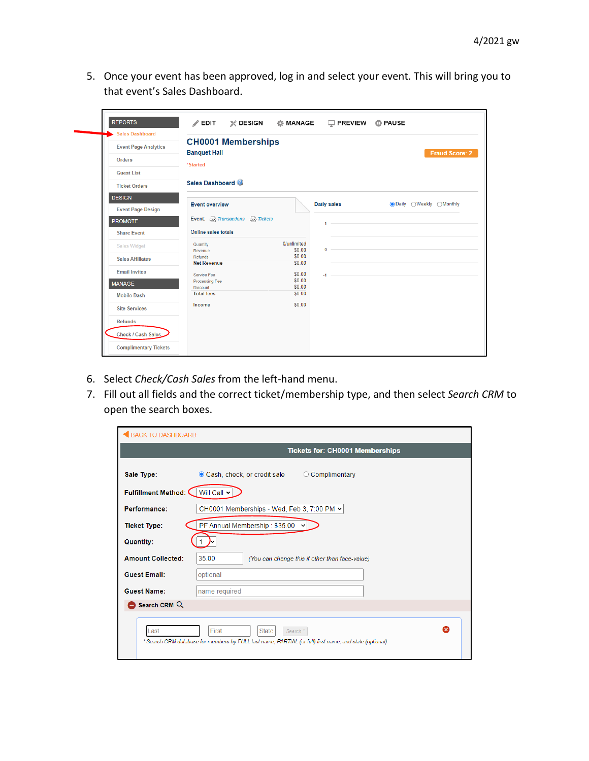5. Once your event has been approved, log in and select your event. This will bring you to that event's Sales Dashboard.

| <b>Sales Dashboard</b>      |                                                              |                            |
|-----------------------------|--------------------------------------------------------------|----------------------------|
| <b>Event Page Analytics</b> | <b>CH0001 Memberships</b>                                    |                            |
| <b>Orders</b>               | <b>Banquet Hall</b>                                          | Fraud Score: 2             |
| <b>Guest List</b>           | *Started                                                     |                            |
| <b>Ticket Orders</b>        | Sales Dashboard                                              |                            |
| <b>DESIGN</b>               |                                                              |                            |
| <b>Event Page Design</b>    | <b>Daily sales</b><br><b>Event overview</b>                  | ● Daily ○ Weekly ○ Monthly |
| <b>PROMOTE</b>              | Event: Est Transactions Est Tickets<br>$1 -$                 |                            |
| <b>Share Event</b>          | Online sales totals                                          |                            |
| <b>Sales Widget</b>         | 0/unlimited<br>Quantity<br>\$0.00<br>$0 -$                   |                            |
| <b>Sales Affiliates</b>     | Revenue<br>\$0.00<br>Refunds<br>\$0.00<br><b>Net Revenue</b> |                            |
| <b>Email Invites</b>        | \$0.00<br>Service Fee<br>$-1$ $-$                            |                            |
| <b>MANAGE</b>               | \$0.00<br><b>Processing Fee</b><br>\$0.00<br><b>Discount</b> |                            |
| <b>Mobile Dash</b>          | \$0.00<br><b>Total fees</b>                                  |                            |
| <b>Site Services</b>        | \$0.00<br>Income                                             |                            |
| <b>Refunds</b>              |                                                              |                            |
| Check / Cash Sales          |                                                              |                            |

- 6. Select *Check/Cash Sales* from the left-hand menu.
- 7. Fill out all fields and the correct ticket/membership type, and then select *Search CRM* to open the search boxes.

| <b>BACK TO DASHBOARD</b> |                                                                                                                                                    |
|--------------------------|----------------------------------------------------------------------------------------------------------------------------------------------------|
|                          | <b>Tickets for: CH0001 Memberships</b>                                                                                                             |
| Sale Type:               | Cash, check, or credit sale<br>○ Complimentary                                                                                                     |
| Fulfillment Method: (    | Will Call ~                                                                                                                                        |
| Performance:             | CH0001 Memberships - Wed, Feb 3, 7:00 PM $\sim$                                                                                                    |
| <b>Ticket Type:</b>      | PF Annual Membership: \$35.00 $\sim$                                                                                                               |
| <b>Quantity:</b>         |                                                                                                                                                    |
| <b>Amount Collected:</b> | 35.00<br>(You can change this if other than face-value)                                                                                            |
| <b>Guest Email:</b>      | optional                                                                                                                                           |
| <b>Guest Name:</b>       | name required                                                                                                                                      |
| Search CRM Q             |                                                                                                                                                    |
| Last                     | ☎<br>First<br><b>State</b><br>Search *<br>* Search CRM database for members by FULL last name, PARTIAL (or full) first name, and state (optional). |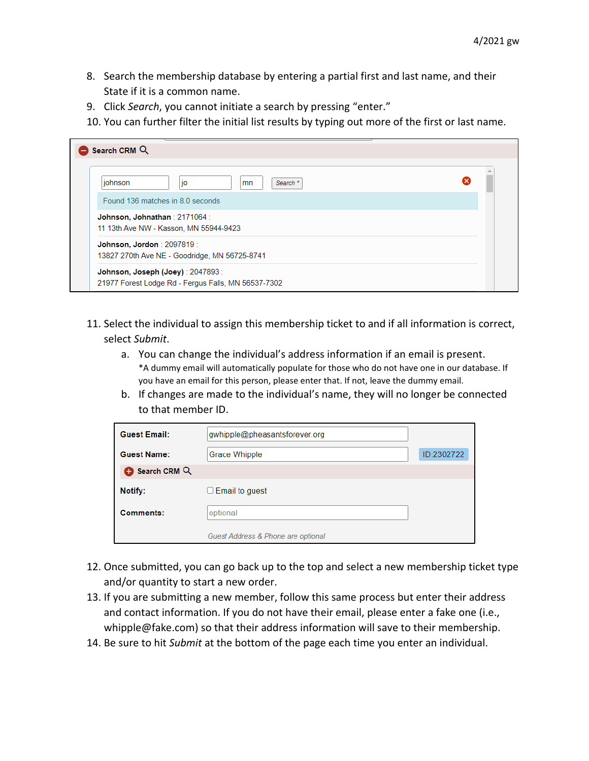- 8. Search the membership database by entering a partial first and last name, and their State if it is a common name.
- 9. Click *Search*, you cannot initiate a search by pressing "enter."
- 10. You can further filter the initial list results by typing out more of the first or last name.

| Search CRM Q                                |                                                     |  |
|---------------------------------------------|-----------------------------------------------------|--|
| johnson<br>Found 136 matches in 8.0 seconds | Search *<br>jo<br>mn                                |  |
| Johnson, Johnathan : 2171064 :              | 11 13th Ave NW - Kasson, MN 55944-9423              |  |
| <b>Johnson, Jordon</b> : 2097819:           | 13827 270th Ave NE - Goodridge, MN 56725-8741       |  |
| Johnson, Joseph (Joey) : 2047893 :          | 21977 Forest Lodge Rd - Fergus Falls, MN 56537-7302 |  |

- 11. Select the individual to assign this membership ticket to and if all information is correct, select *Submit*.
	- a. You can change the individual's address information if an email is present. \*A dummy email will automatically populate for those who do not have one in our database. If you have an email for this person, please enter that. If not, leave the dummy email.
	- b. If changes are made to the individual's name, they will no longer be connected to that member ID.

| <b>Guest Email:</b> | gwhipple@pheasantsforever.org      |            |
|---------------------|------------------------------------|------------|
| <b>Guest Name:</b>  | Grace Whipple                      | ID:2302722 |
| Search CRM Q        |                                    |            |
| Notify:             | Email to guest<br>u                |            |
| Comments:           | optional                           |            |
|                     | Guest Address & Phone are optional |            |

- 12. Once submitted, you can go back up to the top and select a new membership ticket type and/or quantity to start a new order.
- 13. If you are submitting a new member, follow this same process but enter their address and contact information. If you do not have their email, please enter a fake one (i.e., [whipple@fake.com\)](mailto:whipple@fake.com) so that their address information will save to their membership.
- 14. Be sure to hit *Submit* at the bottom of the page each time you enter an individual.